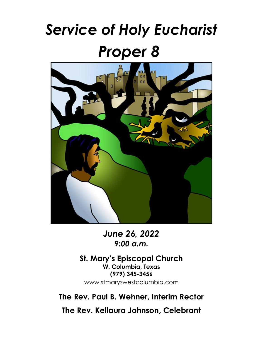# *Service of Holy Eucharist Proper 8*



*June 26, 2022 9:00 a.m.*

**St. Mary's Episcopal Church W. Columbia, Texas (979) 345-3456** www.stmaryswestcolumbia.com

**The Rev. Paul B. Wehner, Interim Rector The Rev. Kellaura Johnson, Celebrant**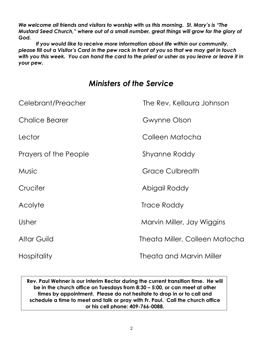*We welcome all friends and visitors to worship with us this morning. St. Mary's is "The Mustard Seed Church," where out of a small number, great things will grow for the glory of God.*

 *If you would like to receive more information about life within our community, please fill out a Visitor's Card in the pew rack in front of you so that we may get in touch with you this week. You can hand the card to the priest or usher as you leave or leave it in your pew.*

# *Ministers of the Service*

| Celebrant/Preacher    | The Rev. Kellaura Johnson       |
|-----------------------|---------------------------------|
| <b>Chalice Bearer</b> | Gwynne Olson                    |
| Lector                | Colleen Matocha                 |
| Prayers of the People | Shyanne Roddy                   |
| <b>Music</b>          | <b>Grace Culbreath</b>          |
| Crucifer              | Abigail Roddy                   |
| Acolyte               | Trace Roddy                     |
| Usher                 | Marvin Miller, Jay Wiggins      |
| <b>Altar Guild</b>    | Theata Miller, Colleen Matocha  |
| <b>Hospitality</b>    | <b>Theata and Marvin Miller</b> |

**Rev. Paul Wehner is our Interim Rector during the current transition time. He will be in the church office on Tuesdays from 8:30 – 5:00, or can meet at other times by appointment. Please do not hesitate to drop in or to call and schedule a time to meet and talk or pray with Fr. Paul. Call the church office or his cell phone: 409-766-0088.**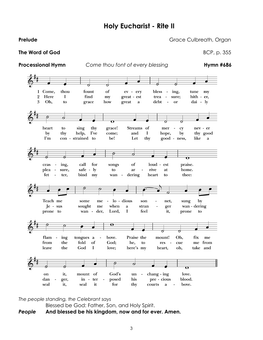# **Holy Eucharist - Rite II**

**Prelude** Grace Culbreath, Organ

# **The Word of God 2008 Property of God 2008 Property American Section 2008 Property BCP, p. 355**

**Processional Hymn** *Come thou font of every blessing* **<b>Hymn #686** 



*The people standing, the Celebrant says*

Blessed be God: Father, Son, and Holy Spirit.

*People* **And blessed be his kingdom, now and for ever. Amen.**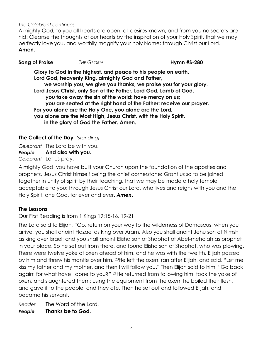# *The Celebrant continues*

Almighty God, to you all hearts are open, all desires known, and from you no secrets are hid: Cleanse the thoughts of our hearts by the inspiration of your Holy Spirit, that we may perfectly love you, and worthily magnify your holy Name; through Christ our Lord. **Amen.**

# **Song of Praise** *THE GLORIA* **Hymn #S-280**

**Glory to God in the highest, and peace to his people on earth. Lord God, heavenly King, almighty God and Father, we worship you, we give you thanks, we praise you for your glory. Lord Jesus Christ, only Son of the Father, Lord God, Lamb of God, you take away the sin of the world: have mercy on us; you are seated at the right hand of the Father: receive our prayer. For you alone are the Holy One, you alone are the Lord, you alone are the Most High, Jesus Christ, with the Holy Spirit, in the glory of God the Father. Amen.**

# **The Collect of the Day** *(standing)*

*Celebrant* The Lord be with you. *People* **And also with you.** *Celebrant* Let us pray.

Almighty God, you have built your Church upon the foundation of the apostles and prophets, Jesus Christ himself being the chief cornerstone: Grant us so to be joined together in unity of spirit by their teaching, that we may be made a holy temple acceptable to you; through Jesus Christ our Lord, who lives and reigns with you and the Holy Spirit, one God, for ever and ever. *Amen***.**

# **The Lessons**

Our First Reading is from 1 Kings 19:15-16, 19-21

The Lord said to Elijah, "Go, return on your way to the wilderness of Damascus; when you arrive, you shall anoint Hazael as king over Aram. Also you shall anoint Jehu son of Nimshi as king over Israel; and you shall anoint Elisha son of Shaphat of Abel-meholah as prophet in your place. So he set out from there, and found Elisha son of Shaphat, who was plowing. There were twelve yoke of oxen ahead of him, and he was with the twelfth. Elijah passed by him and threw his mantle over him. <sup>20</sup>He left the oxen, ran after Elijah, and said, "Let me kiss my father and my mother, and then I will follow you." Then Elijah said to him, "Go back again; for what have I done to you?" <sup>21</sup>He returned from following him, took the yoke of oxen, and slaughtered them; using the equipment from the oxen, he boiled their flesh, and gave it to the people, and they ate. Then he set out and followed Elijah, and became his servant.

*Reader* The Word of the Lord. *People* **Thanks be to God.**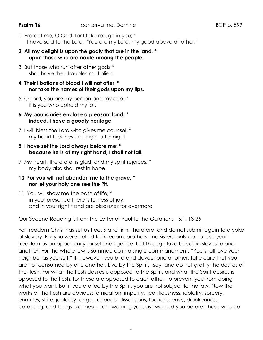- 1 Protect me, O God, for I take refuge in you; \* I have said to the Lord, "You are my Lord, my good above all other."
- **2 All my delight is upon the godly that are in the land, \* upon those who are noble among the people.**
- 3 But those who run after other gods \* shall have their troubles multiplied.
- **4 Their libations of blood I will not offer, \* nor take the names of their gods upon my lips.**
- 5 O Lord, you are my portion and my cup; \* it is you who uphold my lot.
- **6 My boundaries enclose a pleasant land; \* indeed, I have a goodly heritage.**
- 7 I will bless the Lord who gives me counsel; \* my heart teaches me, night after night.
- **8 I have set the Lord always before me; \* because he is at my right hand, I shall not fall.**
- 9 My heart, therefore, is glad, and my spirit rejoices; \* my body also shall rest in hope.
- **10 For you will not abandon me to the grave, \* nor let your holy one see the Pit.**
- 11 You will show me the path of life; \* in your presence there is fullness of joy, and in your right hand are pleasures for evermore.

Our Second Reading is from the Letter of Paul to the Galatians 5:1, 13-25

For freedom Christ has set us free. Stand firm, therefore, and do not submit again to a yoke of slavery. For you were called to freedom, brothers and sisters; only do not use your freedom as an opportunity for self-indulgence, but through love become slaves to one another. For the whole law is summed up in a single commandment, "You shall love your neighbor as yourself." If, however, you bite and devour one another, take care that you are not consumed by one another. Live by the Spirit, I say, and do not gratify the desires of the flesh. For what the flesh desires is opposed to the Spirit, and what the Spirit desires is opposed to the flesh; for these are opposed to each other, to prevent you from doing what you want. But if you are led by the Spirit, you are not subject to the law. Now the works of the flesh are obvious: fornication, impurity, licentiousness, idolatry, sorcery, enmities, strife, jealousy, anger, quarrels, dissensions, factions, envy, drunkenness, carousing, and things like these. I am warning you, as I warned you before: those who do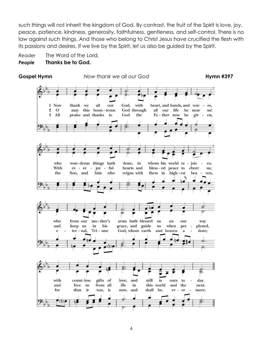such things will not inherit the kingdom of God. By contrast, the fruit of the Spirit is love, joy, peace, patience, kindness, generosity, faithfulness, gentleness, and self-control. There is no law against such things. And those who belong to Christ Jesus have crucified the flesh with its passions and desires. If we live by the Spirit, let us also be guided by the Spirit.

*Reader* The Word of the Lord. *People* **Thanks be to God.**

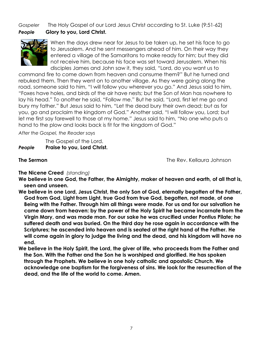# *Gospeler* The Holy Gospel of our Lord Jesus Christ according to St. Luke (9:51-62) *People* **Glory to you, Lord Christ.**



When the days drew near for Jesus to be taken up, he set his face to go to Jerusalem. And he sent messengers ahead of him. On their way they entered a village of the Samaritans to make ready for him; but they did not receive him, because his face was set toward Jerusalem. When his disciples James and John saw it, they said, "Lord, do you want us to

command fire to come down from heaven and consume them?" But he turned and rebuked them. Then they went on to another village. As they were going along the road, someone said to him, "I will follow you wherever you go." And Jesus said to him, "Foxes have holes, and birds of the air have nests; but the Son of Man has nowhere to lay his head." To another he said, "Follow me." But he said, "Lord, first let me go and bury my father." But Jesus said to him, "Let the dead bury their own dead; but as for you, go and proclaim the kingdom of God." Another said, "I will follow you, Lord; but let me first say farewell to those at my home." Jesus said to him, "No one who puts a hand to the plow and looks back is fit for the kingdom of God."

*After the Gospel, the Reader says*

The Gospel of the Lord.

*People* **Praise to you, Lord Christ.**

**The Sermon** The Rev. Kellaura Johnson

**The Nicene Creed** *(standing)*

- **We believe in one God, the Father, the Almighty, maker of heaven and earth, of all that is, seen and unseen.**
- **We believe in one Lord, Jesus Christ, the only Son of God, eternally begotten of the Father, God from God, Light from Light, true God from true God, begotten, not made, of one Being with the Father. Through him all things were made. For us and for our salvation he came down from heaven: by the power of the Holy Spirit he became incarnate from the Virgin Mary, and was made man. For our sake he was crucified under Pontius Pilate; he suffered death and was buried. On the third day he rose again in accordance with the Scriptures; he ascended into heaven and is seated at the right hand of the Father. He will come again in glory to judge the living and the dead, and his kingdom will have no end.**
- **We believe in the Holy Spirit, the Lord, the giver of life, who proceeds from the Father and the Son. With the Father and the Son he is worshiped and glorified. He has spoken through the Prophets. We believe in one holy catholic and apostolic Church. We acknowledge one baptism for the forgiveness of sins. We look for the resurrection of the dead, and the life of the world to come. Amen.**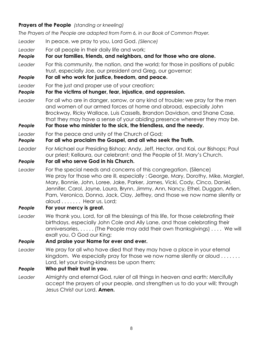# **Prayers of the People** *(standing or kneeling)*

*The Prayers of the People are adapted from Form 6, in our Book of Common Prayer.*

*Leader* In peace, we pray to you, Lord God. *(Silence) Leader* For all people in their daily life and work; *People* **For our families, friends, and neighbors, and for those who are alone.** Leader For this community, the nation, and the world; for those in positions of public trust, especially Joe, our president and Greg, our governor; *People* **For all who work for justice, freedom, and peace.** Leader For the just and proper use of your creation; *People* **For the victims of hunger, fear, injustice, and oppression.** *Leader* For all who are in danger, sorrow, or any kind of trouble; we pray for the men and women of our armed forces at home and abroad, especially John Brockway, Ricky Wallace, Luis Cassells, Brandon Davidson, and Shane Case, that they may have a sense of your abiding presence wherever they may be. *People* **For those who minister to the sick, the friendless, and the needy.** Leader For the peace and unity of the Church of God; *People* **For all who proclaim the Gospel, and all who seek the Truth.** *Leader* For Michael our Presiding Bishop; Andy, Jeff, Hector, and Kai, our Bishops; Paul our priest; Kellaura, our celebrant; and the People of St. Mary's Church. *People* **For all who serve God in his Church.** *Leader* For the special needs and concerns of this congregation. (Silence) We pray for those who are ill, especially : George, Mary, Dorothy, Mike, Marglet, Mary, Bonnie, John, Loree, Jake, Parker, James, Vicki, Cody, Cinco, Daniel, Jennifer, Carol, Jayne, Laura, Brynn, Jimmy, Ann, Nancy, Ethel, Duggan, Arlien, Pam, Veronica, Donna, Jack, Clay, Jeffrey, and those we now name silently or aloud . . . . . . . Hear us, Lord; *People* **For your mercy is great.** *Leader* We thank you, Lord, for all the blessings of this life, for those celebrating their birthdays, especially John Cole and Ally Lane, and those celebrating their anniversaries, . . . . . (The People may add their own thanksgivings) . . . . We will exalt you, O God our King; *People* **And praise your Name for ever and ever.** *Leader* We pray for all who have died that they may have a place in your eternal kingdom. We especially pray for those we now name silently or aloud . . . . . . . Lord, let your loving-kindness be upon them; *People* **Who put their trust in you.** *Leader* Almighty and eternal God, ruler of all things in heaven and earth: Mercifully accept the prayers of your people, and strengthen us to do your will; through Jesus Christ our Lord. **Amen.**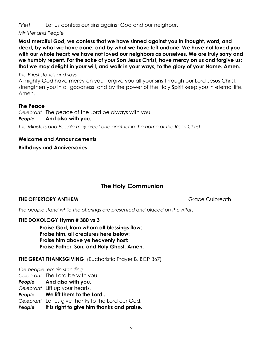*Priest* Let us confess our sins against God and our neighbor.

### *Minister and People*

**Most merciful God, we confess that we have sinned against you in thought, word, and deed, by what we have done, and by what we have left undone. We have not loved you with our whole heart; we have not loved our neighbors as ourselves. We are truly sorry and we humbly repent. For the sake of your Son Jesus Christ, have mercy on us and forgive us; that we may delight in your will, and walk in your ways, to the glory of your Name. Amen.**

### *The Priest stands and says*

Almighty God have mercy on you, forgive you all your sins through our Lord Jesus Christ, strengthen you in all goodness, and by the power of the Holy Spirit keep you in eternal life. Amen.

## **The Peace**

*Celebrant* The peace of the Lord be always with you. *People* **And also with you.**

*The Ministers and People may greet one another in the name of the Risen Christ.*

# **Welcome and Announcements**

**Birthdays and Anniversaries**

# **The Holy Communion**

# **THE OFFERTORY ANTHEM Grace Culbreath**

*The people stand while the offerings are presented and placed on the Altar***.**

# **THE DOXOLOGY Hymn # 380 vs 3**

**Praise God, from whom all blessings flow; Praise him, all creatures here below; Praise him above ye heavenly host: Praise Father, Son, and Holy Ghost. Amen.**

# **THE GREAT THANKSGIVING** (Eucharistic Prayer B, BCP 367)

*The people remain standing*

*Celebrant* The Lord be with you.

*People* **And also with you.**

*Celebrant* Lift up your hearts.

*People* **We lift them to the Lord..**

*Celebrant* Let us give thanks to the Lord our God.

*People* **It is right to give him thanks and praise.**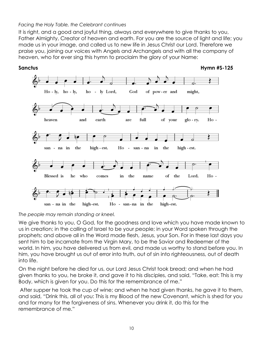# *Facing the Holy Table, the Celebrant continues*

It is right, and a good and joyful thing, always and everywhere to give thanks to you, Father Almighty, Creator of heaven and earth. For you are the source of light and life; you made us in your image, and called us to new life in Jesus Christ our Lord. Therefore we praise you, joining our voices with Angels and Archangels and with all the company of heaven, who for ever sing this hymn to proclaim the glory of your Name:



*The people may remain standing or kneel.*

We give thanks to you, O God, for the goodness and love which you have made known to us in creation; in the calling of Israel to be your people; in your Word spoken through the prophets; and above all in the Word made flesh, Jesus, your Son. For in these last days you sent him to be incarnate from the Virgin Mary, to be the Savior and Redeemer of the world. In him, you have delivered us from evil, and made us worthy to stand before you. In him, you have brought us out of error into truth, out of sin into righteousness, out of death into life.

On the night before he died for us, our Lord Jesus Christ took bread; and when he had given thanks to you, he broke it, and gave it to his disciples, and said, "Take, eat: This is my Body, which is given for you. Do this for the remembrance of me."

After supper he took the cup of wine; and when he had given thanks, he gave it to them, and said, "Drink this, all of you: This is my Blood of the new Covenant, which is shed for you and for many for the forgiveness of sins. Whenever you drink it, do this for the remembrance of me."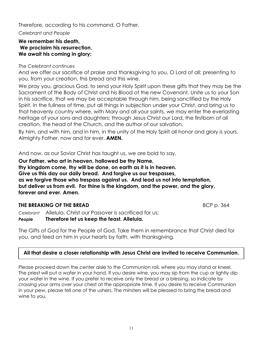Therefore, according to his command, O Father,

*Celebrant and People*

# **We remember his death, We proclaim his resurrection, We await his coming in glory;**

### *The Celebrant continues*

And we offer our sacrifice of praise and thanksgiving to you, O Lord of all; presenting to you, from your creation, this bread and this wine.

We pray you, gracious God, to send your Holy Spirit upon these gifts that they may be the Sacrament of the Body of Christ and his Blood of the new Covenant. Unite us to your Son in his sacrifice, that we may be acceptable through him, being sanctified by the Holy Spirit. In the fullness of time, put all things in subjection under your Christ, and bring us to that heavenly country where, with Mary and all your saints, we may enter the everlasting heritage of your sons and daughters; through Jesus Christ our Lord, the firstborn of all creation, the head of the Church, and the author of our salvation.

By him, and with him, and in him, in the unity of the Holy Spirit all honor and glory is yours, Almighty Father, now and for ever. **AMEN.**

And now, as our Savior Christ has taught us, we are bold to say,

**Our Father, who art in heaven, hallowed be thy Name, thy kingdom come, thy will be done, on earth as it is in heaven. Give us this day our daily bread. And forgive us our trespasses, as we forgive those who trespass against us. And lead us not into temptation, but deliver us from evil. For thine is the kingdom, and the power, and the glory, forever and ever. Amen.**

# **THE BREAKING OF THE BREAD** BCP p. 364

*Celebrant* Alleluia. Christ our Passover is sacrificed for us; *People* **Therefore let us keep the feast. Alleluia.**

The Gifts of God for the People of God. Take them in remembrance that Christ died for you, and feed on him in your hearts by faith, with thanksgiving.

# **All that desire a closer relationship with Jesus Christ are invited to receive Communion.**

Please proceed down the center aisle to the Communion rail, where you may stand or kneel. The priest will put a wafer in your hand. If you desire wine, you may sip from the cup or lightly dip your wafer in the wine. If you prefer to receive only the bread or a blessing, so indicate by crossing your arms over your chest at the appropriate time. If you desire to receive Communion in your pew, please tell one of the ushers. The minsters will be pleased to bring the bread and wine to you.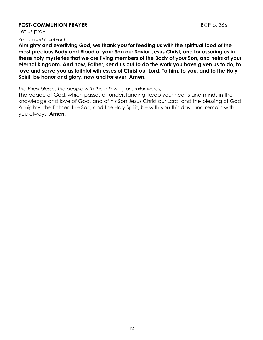# **POST-COMMUNION PRAYER** BCP p. 366

Let us pray.

### *People and Celebrant*

**Almighty and everliving God, we thank you for feeding us with the spiritual food of the most precious Body and Blood of your Son our Savior Jesus Christ; and for assuring us in these holy mysteries that we are living members of the Body of your Son, and heirs of your eternal kingdom. And now, Father, send us out to do the work you have given us to do, to love and serve you as faithful witnesses of Christ our Lord. To him, to you, and to the Holy Spirit, be honor and glory, now and for ever. Amen.**

*The Priest blesses the people with the following or similar words,*

The peace of God, which passes all understanding, keep your hearts and minds in the knowledge and love of God, and of his Son Jesus Christ our Lord; and the blessing of God Almighty, the Father, the Son, and the Holy Spirit, be with you this day, and remain with you always. **Amen.**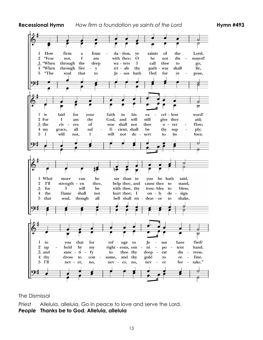**Recessional Hymn** *How firm a foundation ye saints of the Lord* **<b>Hymn #493** 



The Dismissal

*Priest* Alleluia, alleluia. Go in peace to love and serve the Lord. *People* **Thanks be to God. Alleluia, alleluia**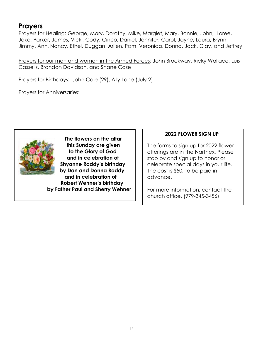# **Prayers**

Prayers for Healing: George, Mary, Dorothy, Mike, Marglet, Mary, Bonnie, John, Loree, Jake, Parker, James, Vicki, Cody, Cinco, Daniel, Jennifer, Carol, Jayne, Laura, Brynn, Jimmy, Ann, Nancy, Ethel, Duggan, Arlien, Pam, Veronica, Donna, Jack, Clay, and Jeffrey

Prayers for our men and women in the Armed Forces: John Brockway, Ricky Wallace, Luis Cassells, Brandon Davidson, and Shane Case

Prayers for Birthdays: John Cole (29), Ally Lane (July 2)

Prayers for Anniversaries:



 **The flowers on the altar this Sunday are given to the Glory of God and in celebration of Shyanne Roddy's birthday by Dan and Donna Roddy and in celebration of Robert Wehner's birthday by Father Paul and Sherry Wehner**

# **2022 FLOWER SIGN UP**

The forms to sign up for 2022 flower offerings are in the Narthex. Please stop by and sign up to honor or celebrate special days in your life. The cost is \$50, to be paid in advance.

For more information, contact the church office. (979-345-3456)